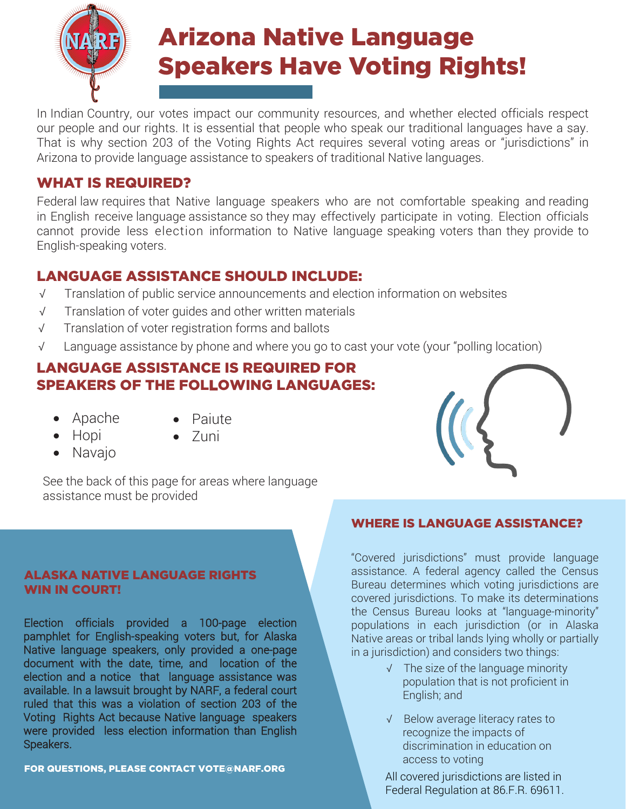

In Indian Country, our votes impact our community resources, and whether elected officials respect our people and our rights. It is essential that people who speak our traditional languages have a say. That is why section 203 of the Voting Rights Act requires several voting areas or "jurisdictions" in Arizona to provide language assistance to speakers of traditional Native languages.

#### WHAT IS REQUIRED?

Federal law requires that Native language speakers who are not comfortable speaking and reading in English receive language assistance so they may effectively participate in voting. Election officials cannot provide less election information to Native language speaking voters than they provide to English-speaking voters.

# LANGUAGE ASSISTANCE SHOULD INCLUDE:

- √ Translation of public service announcements and election information on websites
- √ Translation of voter guides and other written materials
- √ Translation of voter registration forms and ballots
- √ Language assistance by phone and where you go to cast your vote (your "polling location)

#### LANGUAGE ASSISTANCE IS REQUIRED FOR SPEAKERS OF THE FOLLOWING LANGUAGES:

- Apache
- Paiute

• Zuni

- Hopi
- Navajo

See the back of this page for areas where language assistance must be provided

#### ALASKA NATIVE LANGUAGE RIGHTS WIN IN COURT!

Election officials provided a 100-page election pamphlet for English-speaking voters but, for Alaska Native language speakers, only provided a one-page document with the date, time, and location of the election and a notice that language assistance was available. In a lawsuit brought by NARF, a federal court ruled that this was a violation of section 203 of the Voting Rights Act because Native language speakers were provided less election information than English Speakers.

FOR QUESTIONS, PLEASE CONTACT VOTE@NARF.ORG



#### WHERE IS LANGUAGE ASSISTANCE?

"Covered jurisdictions" must provide language assistance. A federal agency called the Census Bureau determines which voting jurisdictions are covered jurisdictions. To make its determinations the Census Bureau looks at "language-minority" populations in each jurisdiction (or in Alaska Native areas or tribal lands lying wholly or partially in a jurisdiction) and considers two things:

- √ The size of the language minority population that is not proficient in English; and
- √ Below average literacy rates to recognize the impacts of discrimination in education on access to voting

All covered jurisdictions are listed in Federal Regulation at 86.F.R. 69611.